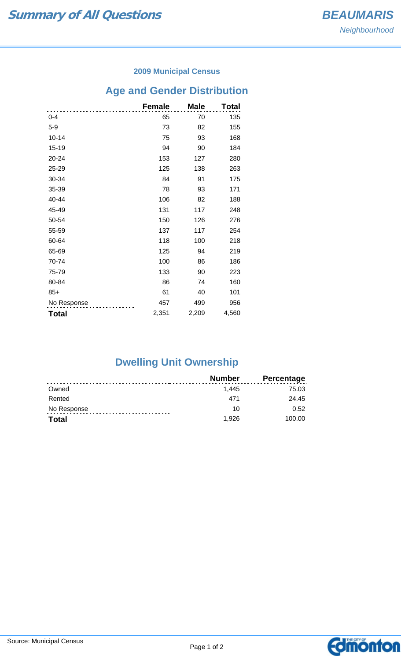### **2009 Municipal Census**

# **Age and Gender Distribution**

|              | <b>Female</b> | <b>Male</b> | Total |
|--------------|---------------|-------------|-------|
| $0 - 4$      | 65            | 70          | 135   |
| $5-9$        | 73            | 82          | 155   |
| $10 - 14$    | 75            | 93          | 168   |
| $15 - 19$    | 94            | 90          | 184   |
| 20-24        | 153           | 127         | 280   |
| 25-29        | 125           | 138         | 263   |
| 30-34        | 84            | 91          | 175   |
| 35-39        | 78            | 93          | 171   |
| 40-44        | 106           | 82          | 188   |
| 45-49        | 131           | 117         | 248   |
| 50-54        | 150           | 126         | 276   |
| 55-59        | 137           | 117         | 254   |
| 60-64        | 118           | 100         | 218   |
| 65-69        | 125           | 94          | 219   |
| 70-74        | 100           | 86          | 186   |
| 75-79        | 133           | 90          | 223   |
| 80-84        | 86            | 74          | 160   |
| $85+$        | 61            | 40          | 101   |
| No Response  | 457           | 499         | 956   |
| <b>Total</b> | 2,351         | 2,209       | 4,560 |

# **Dwelling Unit Ownership**

|              | <b>Number</b> | <b>Percentage</b> |
|--------------|---------------|-------------------|
| Owned        | 1.445         | 75.03             |
| Rented       | 471           | 24.45             |
| No Response  | 10            | 0.52              |
| <b>Total</b> | 1.926         | 100.00            |